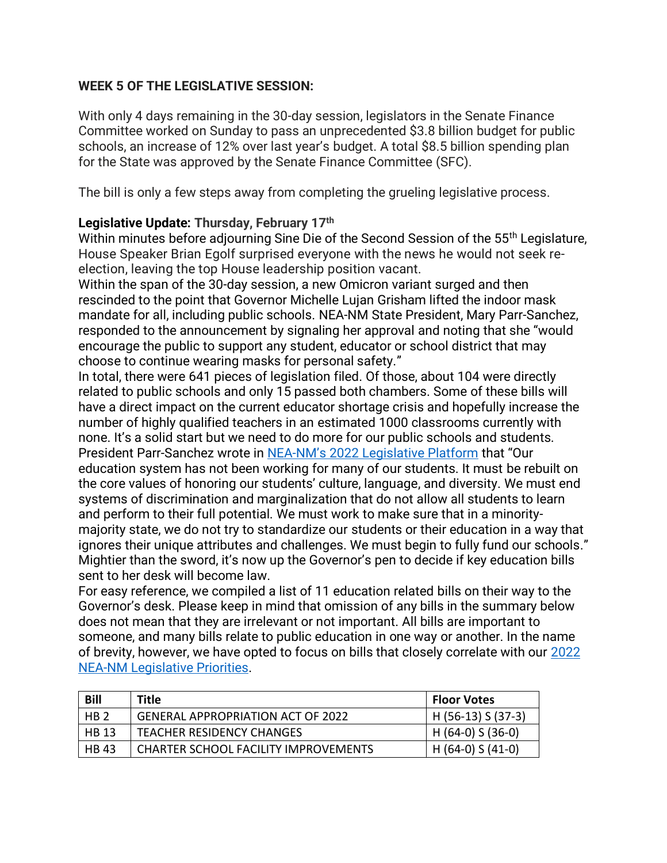## **WEEK 5 OF THE LEGISLATIVE SESSION:**

With only 4 days remaining in the 30-day session, legislators in the Senate Finance Committee worked on Sunday to pass an unprecedented \$3.8 billion budget for public schools, an increase of 12% over last year's budget. A total \$8.5 billion spending plan for the State was approved by the Senate Finance Committee (SFC).

The bill is only a few steps away from completing the grueling legislative process.

## **Legislative Update: Thursday, February 17th**

Within minutes before adjourning Sine Die of the Second Session of the 55<sup>th</sup> Legislature, House Speaker Brian Egolf surprised everyone with the news he would not seek reelection, leaving the top House leadership position vacant.

Within the span of the 30-day session, a new Omicron variant surged and then rescinded to the point that Governor Michelle Lujan Grisham lifted the indoor mask mandate for all, including public schools. NEA-NM State President, Mary Parr-Sanchez, responded to the announcement by signaling her approval and noting that she "would encourage the public to support any student, educator or school district that may choose to continue wearing masks for personal safety."

In total, there were 641 pieces of legislation filed. Of those, about 104 were directly related to public schools and only 15 passed both chambers. Some of these bills will have a direct impact on the current educator shortage crisis and hopefully increase the number of highly qualified teachers in an estimated 1000 classrooms currently with none. It's a solid start but we need to do more for our public schools and students. President Parr-Sanchez wrote in NEA-[NM's 2022 Legislative Platform](https://nea-nm.org/wp-content/uploads/2021/11/2022-NEA-NM-Legislative-Platform.pdf) that "Our education system has not been working for many of our students. It must be rebuilt on the core values of honoring our students' culture, language, and diversity. We must end systems of discrimination and marginalization that do not allow all students to learn and perform to their full potential. We must work to make sure that in a minoritymajority state, we do not try to standardize our students or their education in a way that ignores their unique attributes and challenges. We must begin to fully fund our schools." Mightier than the sword, it's now up the Governor's pen to decide if key education bills sent to her desk will become law.

For easy reference, we compiled a list of 11 education related bills on their way to the Governor's desk. Please keep in mind that omission of any bills in the summary below does not mean that they are irrelevant or not important. All bills are important to someone, and many bills relate to public education in one way or another. In the name of brevity, however, we have opted to focus on bills that closely correlate with our [2022](https://nea-nm.org/wp-content/uploads/2021/11/EducatorsSpeakOutLegislativePriorities.pdf)  [NEA-NM Legislative Priorities.](https://nea-nm.org/wp-content/uploads/2021/11/EducatorsSpeakOutLegislativePriorities.pdf)

| <b>Bill</b>     | Title                                       | <b>Floor Votes</b> |
|-----------------|---------------------------------------------|--------------------|
| HB <sub>2</sub> | <b>GENERAL APPROPRIATION ACT OF 2022</b>    | H (56-13) S (37-3) |
| <b>HB 13</b>    | <b>TEACHER RESIDENCY CHANGES</b>            | $H(64-0)$ S (36-0) |
| <b>HB 43</b>    | <b>CHARTER SCHOOL FACILITY IMPROVEMENTS</b> | H (64-0) S (41-0)  |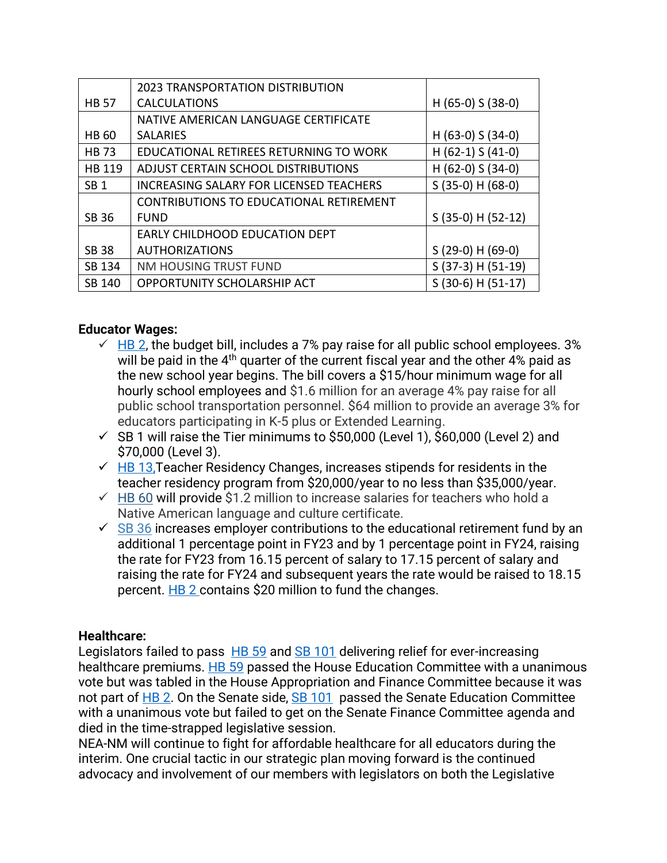|                 | <b>2023 TRANSPORTATION DISTRIBUTION</b>        |                       |
|-----------------|------------------------------------------------|-----------------------|
| <b>HB 57</b>    | <b>CALCULATIONS</b>                            | H $(65-0)$ S $(38-0)$ |
|                 | NATIVE AMERICAN LANGUAGE CERTIFICATE           |                       |
| HB 60           | <b>SALARIES</b>                                | H $(63-0)$ S $(34-0)$ |
| <b>HB73</b>     | EDUCATIONAL RETIREES RETURNING TO WORK         | $H(62-1) S(41-0)$     |
| HB 119          | ADJUST CERTAIN SCHOOL DISTRIBUTIONS            | H $(62-0)$ S $(34-0)$ |
| SB <sub>1</sub> | <b>INCREASING SALARY FOR LICENSED TEACHERS</b> | $S(35-0) H(68-0)$     |
|                 | CONTRIBUTIONS TO EDUCATIONAL RETIREMENT        |                       |
| SB 36           | <b>FUND</b>                                    | S (35-0) H (52-12)    |
|                 | EARLY CHILDHOOD EDUCATION DEPT                 |                       |
| <b>SB 38</b>    | <b>AUTHORIZATIONS</b>                          | $S(29-0) H(69-0)$     |
| SB 134          | NM HOUSING TRUST FUND                          | S (37-3) H (51-19)    |
| SB 140          | OPPORTUNITY SCHOLARSHIP ACT                    | S (30-6) H (51-17)    |

## **Educator Wages:**

- $\overline{v}$  [HB 2,](https://www.nmlegis.gov/Legislation/Legislation?Chamber=H&LegType=B&LegNo=2&year=22) the budget bill, includes a 7% pay raise for all public school employees. 3% will be paid in the 4<sup>th</sup> quarter of the current fiscal year and the other 4% paid as the new school year begins. The bill covers a \$15/hour minimum wage for all hourly school employees and \$1.6 million for an average 4% pay raise for all public school transportation personnel. \$64 million to provide an average 3% for educators participating in K-5 plus or Extended Learning.
- $\checkmark$  SB 1 will raise the Tier minimums to \$50,000 (Level 1), \$60,000 (Level 2) and \$70,000 (Level 3).
- $\sqrt{H}B$  13. Teacher Residency Changes, increases stipends for residents in the teacher residency program from \$20,000/year to no less than \$35,000/year.
- $\checkmark$  [HB 60](https://www.nmlegis.gov/Legislation/Legislation?chamber=H&legType=B&legNo=60&year=22) will provide \$1.2 million to increase salaries for teachers who hold a Native American language and culture certificate.
- $\checkmark$  [SB](https://www.nmlegis.gov/Legislation/Legislation?chamber=S&legtype=B&legno=36&year=22) 36 increases employer contributions to the educational retirement fund by an additional 1 percentage point in FY23 and by 1 percentage point in FY24, raising the rate for FY23 from 16.15 percent of salary to 17.15 percent of salary and raising the rate for FY24 and subsequent years the rate would be raised to 18.15 percent. [HB 2](https://www.nmlegis.gov/Legislation/Legislation?Chamber=H&LegType=B&LegNo=2&year=22) contains \$20 million to fund the changes.

## **Healthcare:**

Legislators failed to pass [HB 59](https://www.nmlegis.gov/Legislation/Legislation?Chamber=H&LegType=B&LegNo=59&year=22) and [SB 101](https://www.nmlegis.gov/Legislation/Legislation?Chamber=S&LegType=B&LegNo=101&year=22) delivering relief for ever-increasing healthcare premiums. [HB 59](https://www.nmlegis.gov/Legislation/Legislation?Chamber=H&LegType=B&LegNo=59&year=22) passed the House Education Committee with a unanimous vote but was tabled in the House Appropriation and Finance Committee because it was not part of [HB 2.](https://www.nmlegis.gov/Legislation/Legislation?Chamber=H&LegType=B&LegNo=2&year=22) On the Senate side, [SB 101](https://www.nmlegis.gov/Legislation/Legislation?Chamber=S&LegType=B&LegNo=101&year=22) passed the Senate Education Committee with a unanimous vote but failed to get on the Senate Finance Committee agenda and died in the time-strapped legislative session.

NEA-NM will continue to fight for affordable healthcare for all educators during the interim. One crucial tactic in our strategic plan moving forward is the continued advocacy and involvement of our members with legislators on both the Legislative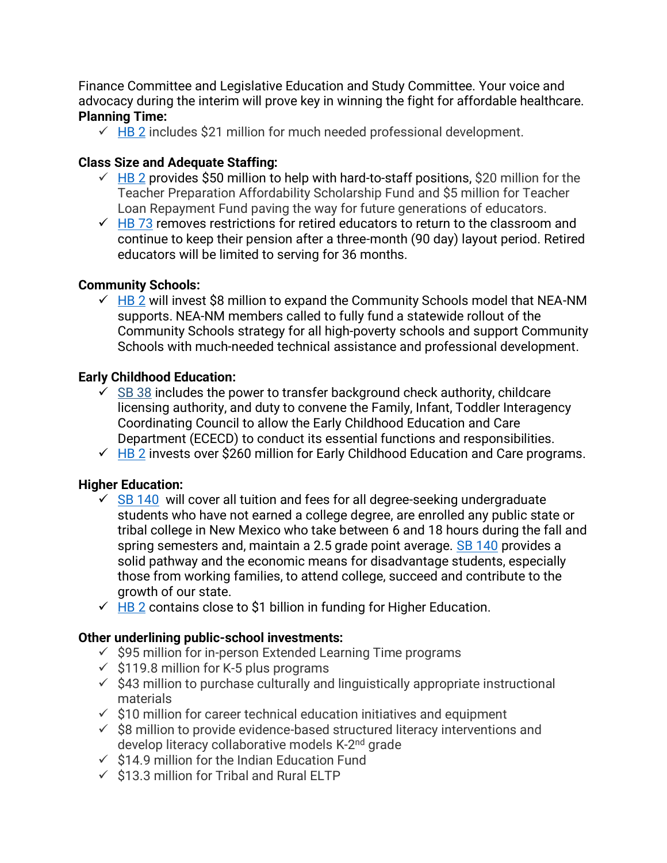Finance Committee and Legislative Education and Study Committee. Your voice and advocacy during the interim will prove key in winning the fight for affordable healthcare. **Planning Time:**

 $\checkmark$  [HB 2](https://www.nmlegis.gov/Legislation/Legislation?Chamber=H&LegType=B&LegNo=2&year=22) includes \$21 million for much needed professional development.

# **Class Size and Adequate Staffing:**

- $\checkmark$  [HB 2](https://www.nmlegis.gov/Legislation/Legislation?Chamber=H&LegType=B&LegNo=2&year=22) provides \$50 million to help with hard-to-staff positions, \$20 million for the Teacher Preparation Affordability Scholarship Fund and \$5 million for Teacher Loan Repayment Fund paving the way for future generations of educators.
- $\sqrt{1}$  [HB 73](https://www.nmlegis.gov/Legislation/Legislation?Chamber=H&LegType=B&LegNo=73&year=22) removes restrictions for retired educators to return to the classroom and continue to keep their pension after a three-month (90 day) layout period. Retired educators will be limited to serving for 36 months.

# **Community Schools:**

 $\overline{V}$  [HB 2](https://www.nmlegis.gov/Legislation/Legislation?Chamber=H&LegType=B&LegNo=2&year=22) will invest \$8 million to expand the Community Schools model that NEA-NM supports. NEA-NM members called to fully fund a statewide rollout of the Community Schools strategy for all high-poverty schools and support Community Schools with much-needed technical assistance and professional development.

# **Early Childhood Education:**

- $\checkmark$  [SB 38](https://www.nmlegis.gov/Legislation/Legislation?chamber=S&legType=B&legNo=38&year=22) includes the power to transfer background check authority, childcare licensing authority, and duty to convene the Family, Infant, Toddler Interagency Coordinating Council to allow the Early Childhood Education and Care Department (ECECD) to conduct its essential functions and responsibilities.
- $\checkmark$  [HB 2](https://www.nmlegis.gov/Legislation/Legislation?Chamber=H&LegType=B&LegNo=2&year=22) invests over \$260 million for Early Childhood Education and Care programs.

# **Higher Education:**

- $\leq$  [SB 140](https://www.nmlegis.gov/Legislation/Legislation?chamber=S&legtype=B&legno=140&year=22) will cover all tuition and fees for all degree-seeking undergraduate students who have not earned a college degree, are enrolled any public state or tribal college in New Mexico who take between 6 and 18 hours during the fall and spring semesters and, maintain a 2.5 grade point average. [SB 140](https://www.nmlegis.gov/Legislation/Legislation?chamber=S&legtype=B&legno=140&year=22) provides a solid pathway and the economic means for disadvantage students, especially those from working families, to attend college, succeed and contribute to the growth of our state.
- $\sqrt{H}B$  2 contains close to \$1 billion in funding for Higher Education.

## **Other underlining public-school investments:**

- $\checkmark$  \$95 million for in-person Extended Learning Time programs
- $\checkmark$  \$119.8 million for K-5 plus programs
- $\checkmark$  \$43 million to purchase culturally and linguistically appropriate instructional materials
- $\checkmark$  \$10 million for career technical education initiatives and equipment
- $\checkmark$  \$8 million to provide evidence-based structured literacy interventions and develop literacy collaborative models K-2<sup>nd</sup> grade
- $\checkmark$  \$14.9 million for the Indian Education Fund
- $\checkmark$  \$13.3 million for Tribal and Rural ELTP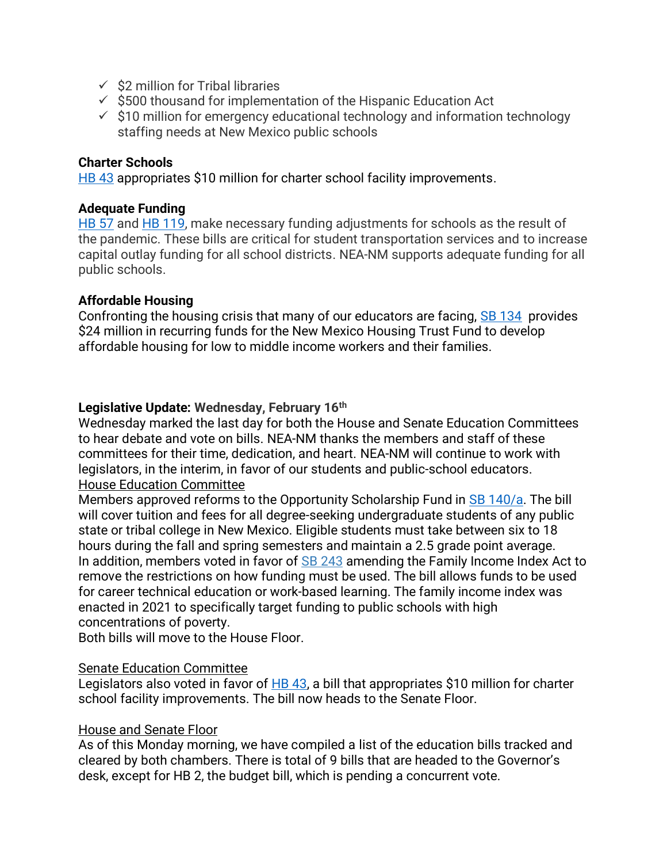- $\checkmark$  \$2 million for Tribal libraries
- $\checkmark$  \$500 thousand for implementation of the Hispanic Education Act
- $\checkmark$  \$10 million for emergency educational technology and information technology staffing needs at New Mexico public schools

#### **Charter Schools**

[HB 43](https://www.nmlegis.gov/Legislation/Legislation?Chamber=H&LegType=B&LegNo=43&year=22) appropriates \$10 million for charter school facility improvements.

### **Adequate Funding**

[HB 57](https://www.nmlegis.gov/Legislation/Legislation?chamber=H&legtype=B&legno=57&year=22) and [HB 119,](https://www.nmlegis.gov/Legislation/Legislation?chamber=H&legtype=B&legno=119&year=22) make necessary funding adjustments for schools as the result of the pandemic. These bills are critical for student transportation services and to increase capital outlay funding for all school districts. NEA-NM supports adequate funding for all public schools.

### **Affordable Housing**

Confronting the housing crisis that many of our educators are facing, [SB 134](https://www.nmlegis.gov/Legislation/Legislation?Chamber=S&LegType=B&LegNo=134&year=22) provides \$24 million in recurring funds for the New Mexico Housing Trust Fund to develop affordable housing for low to middle income workers and their families.

### **Legislative Update: Wednesday, February 16th**

Wednesday marked the last day for both the House and Senate Education Committees to hear debate and vote on bills. NEA-NM thanks the members and staff of these committees for their time, dedication, and heart. NEA-NM will continue to work with legislators, in the interim, in favor of our students and public-school educators. House Education Committee

Members approved reforms to the Opportunity Scholarship Fund in [SB 140/](https://www.nmlegis.gov/Legislation/Legislation?chamber=S&legtype=B&legno=140&year=22)a. The bill will cover tuition and fees for all degree-seeking undergraduate students of any public state or tribal college in New Mexico. Eligible students must take between six to 18 hours during the fall and spring semesters and maintain a 2.5 grade point average. In addition, members voted in favor of **SB [243](https://www.nmlegis.gov/Legislation/Legislation?chamber=S&legtype=B&legno=243&year=22)** amending the Family Income Index Act to remove the restrictions on how funding must be used. The bill allows funds to be used for career technical education or work-based learning. The family income index was enacted in 2021 to specifically target funding to public schools with high concentrations of poverty.

Both bills will move to the House Floor.

### Senate Education Committee

Legislators also voted in favor of [HB 43,](https://www.nmlegis.gov/Legislation/Legislation?Chamber=H&LegType=B&LegNo=43&year=22) a bill that appropriates \$10 million for charter school facility improvements. The bill now heads to the Senate Floor.

### House and Senate Floor

As of this Monday morning, we have compiled a list of the education bills tracked and cleared by both chambers. There is total of 9 bills that are headed to the Governor's desk, except for HB 2, the budget bill, which is pending a concurrent vote.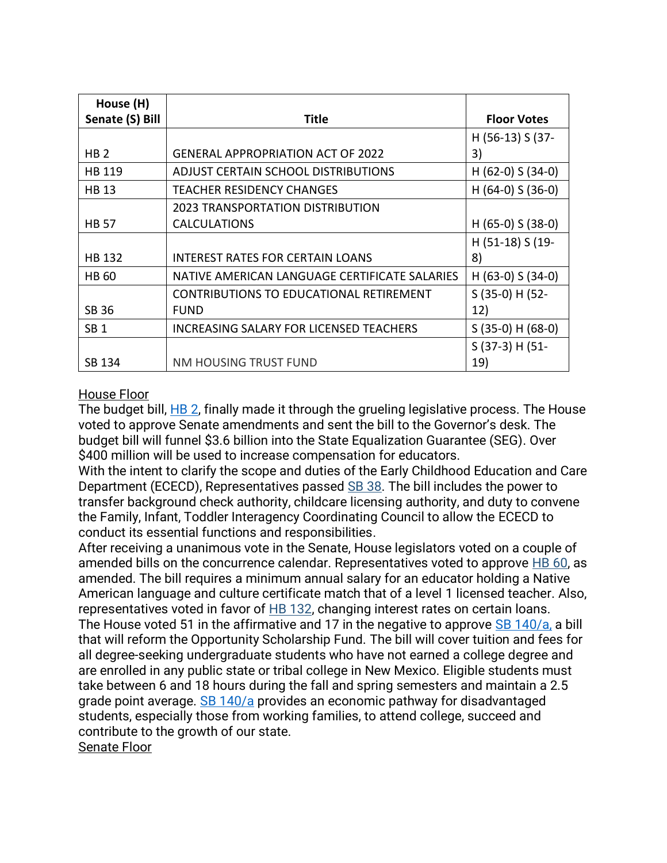| House (H)       |                                               |                       |  |
|-----------------|-----------------------------------------------|-----------------------|--|
| Senate (S) Bill | Title                                         | <b>Floor Votes</b>    |  |
|                 |                                               | H (56-13) S (37-      |  |
| HB <sub>2</sub> | <b>GENERAL APPROPRIATION ACT OF 2022</b>      | 3)                    |  |
| HB 119          | ADJUST CERTAIN SCHOOL DISTRIBUTIONS           | H $(62-0)$ S $(34-0)$ |  |
| <b>HB 13</b>    | <b>TEACHER RESIDENCY CHANGES</b>              | H $(64-0)$ S $(36-0)$ |  |
|                 | 2023 TRANSPORTATION DISTRIBUTION              |                       |  |
| <b>HB 57</b>    | <b>CALCULATIONS</b>                           | H $(65-0)$ S $(38-0)$ |  |
|                 |                                               | H (51-18) S (19-      |  |
| <b>HB 132</b>   | <b>INTEREST RATES FOR CERTAIN LOANS</b>       | 8)                    |  |
| <b>HB 60</b>    | NATIVE AMERICAN LANGUAGE CERTIFICATE SALARIES | H (63-0) S (34-0)     |  |
|                 | CONTRIBUTIONS TO EDUCATIONAL RETIREMENT       | $S(35-0)$ H (52-      |  |
| <b>SB 36</b>    | <b>FUND</b>                                   | 12)                   |  |
| SB <sub>1</sub> | INCREASING SALARY FOR LICENSED TEACHERS       | $S(35-0) H(68-0)$     |  |
|                 |                                               | $S(37-3) H(51-$       |  |
| SB 134          | NM HOUSING TRUST FUND                         | 19)                   |  |

## House Floor

The budget bill, [HB 2,](https://www.nmlegis.gov/Legislation/Legislation?Chamber=H&LegType=B&LegNo=2&year=22) finally made it through the grueling legislative process. The House voted to approve Senate amendments and sent the bill to the Governor's desk. The budget bill will funnel \$3.6 billion into the State Equalization Guarantee (SEG). Over \$400 million will be used to increase compensation for educators.

With the intent to clarify the scope and duties of the Early Childhood Education and Care Department (ECECD), Representatives passed [SB 38.](https://www.nmlegis.gov/Legislation/Legislation?chamber=S&legType=B&legNo=38&year=22) The bill includes the power to transfer background check authority, childcare licensing authority, and duty to convene the Family, Infant, Toddler Interagency Coordinating Council to allow the ECECD to conduct its essential functions and responsibilities.

After receiving a unanimous vote in the Senate, House legislators voted on a couple of amended bills on the concurrence calendar. Representatives voted to approve  $\overline{AB}$  60, as amended. The bill requires a minimum annual salary for an educator holding a Native American language and culture certificate match that of a level 1 licensed teacher. Also, representatives voted in favor of [HB 132,](https://www.nmlegis.gov/Legislation/Legislation?chamber=H&legType=B&legNo=132&year=22) changing interest rates on certain loans. The House voted 51 in the affirmative and 17 in the negative to approve [SB 140/](https://www.nmlegis.gov/Legislation/Legislation?chamber=S&legtype=B&legno=140&year=22)a, a bill that will reform the Opportunity Scholarship Fund. The bill will cover tuition and fees for all degree-seeking undergraduate students who have not earned a college degree and are enrolled in any public state or tribal college in New Mexico. Eligible students must take between 6 and 18 hours during the fall and spring semesters and maintain a 2.5 grade point average. [SB 140/](https://www.nmlegis.gov/Legislation/Legislation?chamber=S&legtype=B&legno=140&year=22)a provides an economic pathway for disadvantaged students, especially those from working families, to attend college, succeed and contribute to the growth of our state. Senate Floor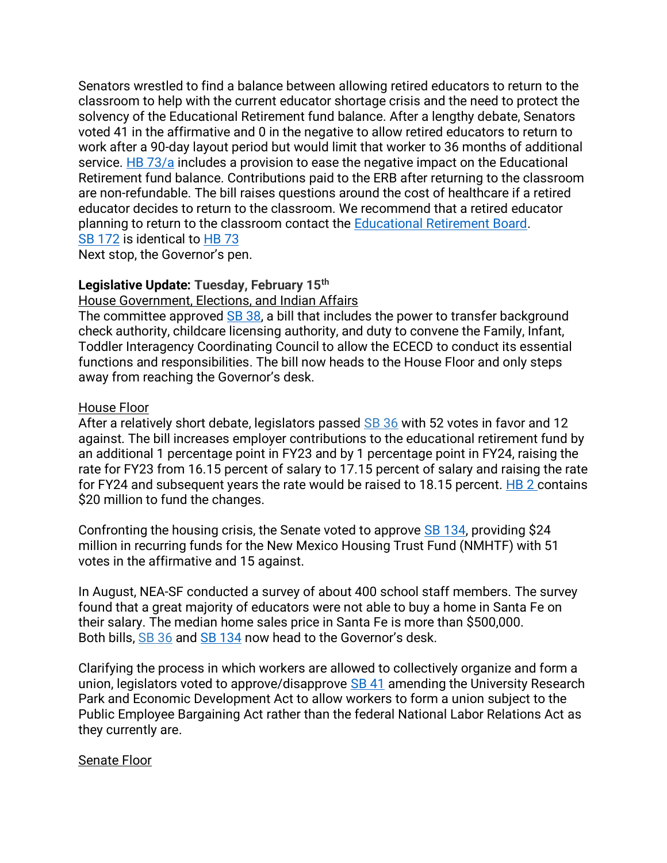Senators wrestled to find a balance between allowing retired educators to return to the classroom to help with the current educator shortage crisis and the need to protect the solvency of the Educational Retirement fund balance. After a lengthy debate, Senators voted 41 in the affirmative and 0 in the negative to allow retired educators to return to work after a 90-day layout period but would limit that worker to 36 months of additional service. [HB 73/](https://www.nmlegis.gov/Legislation/Legislation?Chamber=H&LegType=B&LegNo=73&year=22)a includes a provision to ease the negative impact on the Educational Retirement fund balance. Contributions paid to the ERB after returning to the classroom are non-refundable. The bill raises questions around the cost of healthcare if a retired educator decides to return to the classroom. We recommend that a retired educator planning to return to the classroom contact the [Educational Retirement Board.](https://www.nmerb.org/) [SB 172](https://www.nmlegis.gov/Legislation/Legislation?chamber=S&legtype=B&legno=172&year=22) is identical to [HB 73](https://www.nmlegis.gov/Legislation/Legislation?Chamber=H&LegType=B&LegNo=73&year=22)

Next stop, the Governor's pen.

### **Legislative Update: Tuesday, February 15th**

House Government, Elections, and Indian Affairs

The committee approved [SB 38,](https://www.nmlegis.gov/Legislation/Legislation?chamber=S&legtype=B&legno=38&year=22) a bill that includes the power to transfer background check authority, childcare licensing authority, and duty to convene the Family, Infant, Toddler Interagency Coordinating Council to allow the ECECD to conduct its essential functions and responsibilities. The bill now heads to the House Floor and only steps away from reaching the Governor's desk.

### House Floor

After a relatively short debate, legislators passed [SB](https://www.nmlegis.gov/Legislation/Legislation?chamber=S&legtype=B&legno=36&year=22) 36 with 52 votes in favor and 12 against. The bill increases employer contributions to the educational retirement fund by an additional 1 percentage point in FY23 and by 1 percentage point in FY24, raising the rate for FY23 from 16.15 percent of salary to 17.15 percent of salary and raising the rate for FY24 and subsequent years the rate would be raised to 18.15 percent.  $H\text{B}$  2 contains \$20 million to fund the changes.

Confronting the housing crisis, the Senate voted to approve [SB 134,](https://www.nmlegis.gov/Legislation/Legislation?Chamber=S&LegType=B&LegNo=134&year=22) providing \$24 million in recurring funds for the New Mexico Housing Trust Fund (NMHTF) with 51 votes in the affirmative and 15 against.

In August, NEA-SF conducted a survey of about 400 school staff members. The survey found that a great majority of educators were not able to buy a home in Santa Fe on their salary. The median home sales price in Santa Fe is more than \$500,000. Both bills, [SB](https://www.nmlegis.gov/Legislation/Legislation?chamber=S&legtype=B&legno=36&year=22) 36 and [SB 134](https://www.nmlegis.gov/Legislation/Legislation?Chamber=S&LegType=B&LegNo=134&year=22) now head to the Governor's desk.

Clarifying the process in which workers are allowed to collectively organize and form a union, legislators voted to approve/disapprove [SB 41](https://www.nmlegis.gov/Legislation/Legislation?Chamber=S&LegType=B&LegNo=41&year=22) amending the University Research Park and Economic Development Act to allow workers to form a union subject to the Public Employee Bargaining Act rather than the federal National Labor Relations Act as they currently are.

### Senate Floor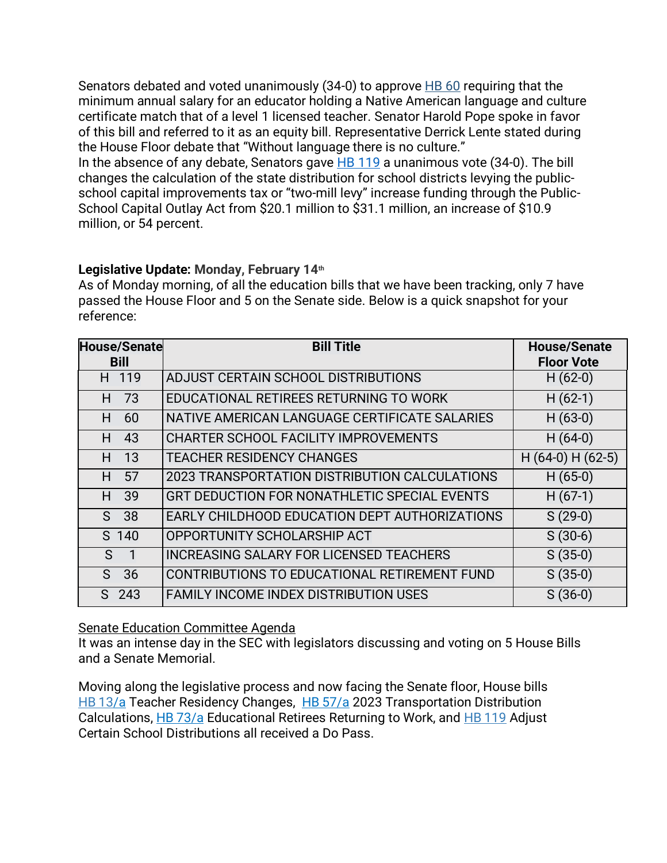Senators debated and voted unanimously  $(34-0)$  to approve  $H\rightarrow$  60 requiring that the minimum annual salary for an educator holding a Native American language and culture certificate match that of a level 1 licensed teacher. Senator Harold Pope spoke in favor of this bill and referred to it as an equity bill. Representative Derrick Lente stated during the House Floor debate that "Without language there is no culture." In the absence of any debate, Senators gave [HB 119](https://www.nmlegis.gov/Legislation/Legislation?chamber=H&legtype=B&legno=119&year=22) a unanimous vote (34-0). The bill changes the calculation of the state distribution for school districts levying the publicschool capital improvements tax or "two-mill levy" increase funding through the Public-School Capital Outlay Act from \$20.1 million to \$31.1 million, an increase of \$10.9 million, or 54 percent.

## **Legislative Update: Monday, February 14 th**

As of Monday morning, of all the education bills that we have been tracking, only 7 have passed the House Floor and 5 on the Senate side. Below is a quick snapshot for your reference:

| <b>House/Senate</b><br><b>Bill</b> |       | <b>Bill Title</b>                              | <b>House/Senate</b><br><b>Floor Vote</b> |
|------------------------------------|-------|------------------------------------------------|------------------------------------------|
|                                    | H 119 | ADJUST CERTAIN SCHOOL DISTRIBUTIONS            | $H(62-0)$                                |
| H                                  | 73    | EDUCATIONAL RETIREES RETURNING TO WORK         | $H(62-1)$                                |
| H.                                 | 60    | NATIVE AMERICAN LANGUAGE CERTIFICATE SALARIES  | $H(63-0)$                                |
| H                                  | 43    | <b>CHARTER SCHOOL FACILITY IMPROVEMENTS</b>    | $H(64-0)$                                |
| H.                                 | 13    | <b>TEACHER RESIDENCY CHANGES</b>               | $H(64-0)H(62-5)$                         |
| H                                  | 57    | 2023 TRANSPORTATION DISTRIBUTION CALCULATIONS  | $H(65-0)$                                |
| H.                                 | 39    | GRT DEDUCTION FOR NONATHLETIC SPECIAL EVENTS   | $H(67-1)$                                |
| S.                                 | 38    | EARLY CHILDHOOD EDUCATION DEPT AUTHORIZATIONS  | $S(29-0)$                                |
|                                    | S 140 | OPPORTUNITY SCHOLARSHIP ACT                    | $S(30-6)$                                |
| S.                                 | 1     | <b>INCREASING SALARY FOR LICENSED TEACHERS</b> | $S(35-0)$                                |
| S.                                 | 36    | CONTRIBUTIONS TO EDUCATIONAL RETIREMENT FUND   | $S(35-0)$                                |
| S.                                 | 243   | <b>FAMILY INCOME INDEX DISTRIBUTION USES</b>   | $S(36-0)$                                |

### Senate Education Committee Agenda

It was an intense day in the SEC with legislators discussing and voting on 5 House Bills and a Senate Memorial.

Moving along the legislative process and now facing the Senate floor, House bills [HB](https://www.nmlegis.gov/Legislation/Legislation?chamber=H&legtype=B&legno=13&year=22) 13/a Teacher Residency Changes, HB [57/](https://www.nmlegis.gov/Legislation/Legislation?chamber=H&legtype=B&legno=57&year=22)a 2023 Transportation Distribution Calculations, [HB](https://www.nmlegis.gov/Legislation/Legislation?chamber=H&legtype=B&legno=73&year=22) 73/a Educational Retirees Returning to Work, and HB [119](https://www.nmlegis.gov/Legislation/Legislation?chamber=H&legtype=B&legno=119&year=22) Adjust Certain School Distributions all received a Do Pass.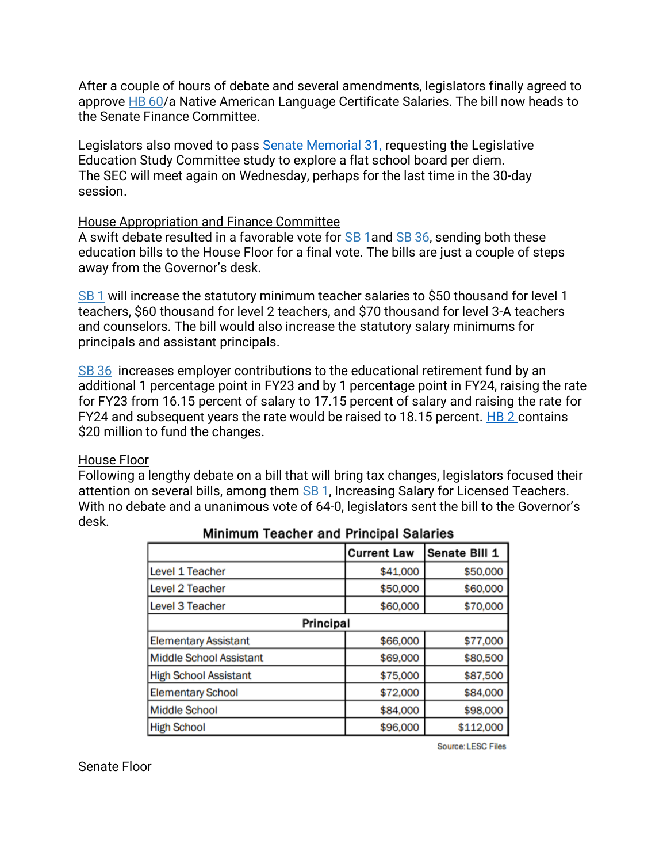After a couple of hours of debate and several amendments, legislators finally agreed to approve [HB](https://www.nmlegis.gov/Legislation/Legislation?chamber=H&legtype=B&legno=60&year=22) 60/a Native American Language Certificate Salaries. The bill now heads to the Senate Finance Committee.

Legislators also moved to pass [Senate Memorial 31,](https://www.nmlegis.gov/Legislation/Legislation?Chamber=S&LegType=M&LegNo=31&Year=22) requesting the Legislative Education Study Committee study to explore a flat school board per diem. The SEC will meet again on Wednesday, perhaps for the last time in the 30-day session.

### House Appropriation and Finance Committee

A swift debate resulted in a favorable vote for [SB](https://www.nmlegis.gov/Legislation/Legislation?chamber=S&legtype=B&legno=1&year=22) 1and [SB](https://www.nmlegis.gov/Legislation/Legislation?chamber=S&legtype=B&legno=36&year=22) 36, sending both these education bills to the House Floor for a final vote. The bills are just a couple of steps away from the Governor's desk.

[SB](https://www.nmlegis.gov/Legislation/Legislation?chamber=S&legtype=B&legno=1&year=22) 1 will increase the statutory minimum teacher salaries to \$50 thousand for level 1 teachers, \$60 thousand for level 2 teachers, and \$70 thousand for level 3-A teachers and counselors. The bill would also increase the statutory salary minimums for principals and assistant principals.

[SB](https://www.nmlegis.gov/Legislation/Legislation?chamber=S&legtype=B&legno=36&year=22) 36 increases employer contributions to the educational retirement fund by an additional 1 percentage point in FY23 and by 1 percentage point in FY24, raising the rate for FY23 from 16.15 percent of salary to 17.15 percent of salary and raising the rate for FY24 and subsequent years the rate would be raised to 18.15 percent. [HB 2](https://www.nmlegis.gov/Legislation/Legislation?Chamber=H&LegType=B&LegNo=2&year=22) contains \$20 million to fund the changes.

### House Floor

Following a lengthy debate on a bill that will bring tax changes, legislators focused their attention on several bills, among them **SB 1**, Increasing Salary for Licensed Teachers. With no debate and a unanimous vote of 64-0, legislators sent the bill to the Governor's desk.

|                              | <b>Current Law</b> | Senate Bill 1 |  |  |
|------------------------------|--------------------|---------------|--|--|
| Level 1 Teacher              | \$41,000           | \$50,000      |  |  |
| Level 2 Teacher              | \$50,000           | \$60,000      |  |  |
| Level 3 Teacher              | \$60,000           | \$70,000      |  |  |
| Principal                    |                    |               |  |  |
| <b>Elementary Assistant</b>  | \$66,000           | \$77,000      |  |  |
| Middle School Assistant      | \$69,000           | \$80,500      |  |  |
| <b>High School Assistant</b> | \$75,000           | \$87,500      |  |  |
| <b>Elementary School</b>     | \$72,000           | \$84,000      |  |  |
| <b>Middle School</b>         | \$84,000           | \$98,000      |  |  |
| <b>High School</b>           | \$96,000           | \$112,000     |  |  |

### **Minimum Teacher and Principal Salaries**

Source: LESC Files

#### Senate Floor